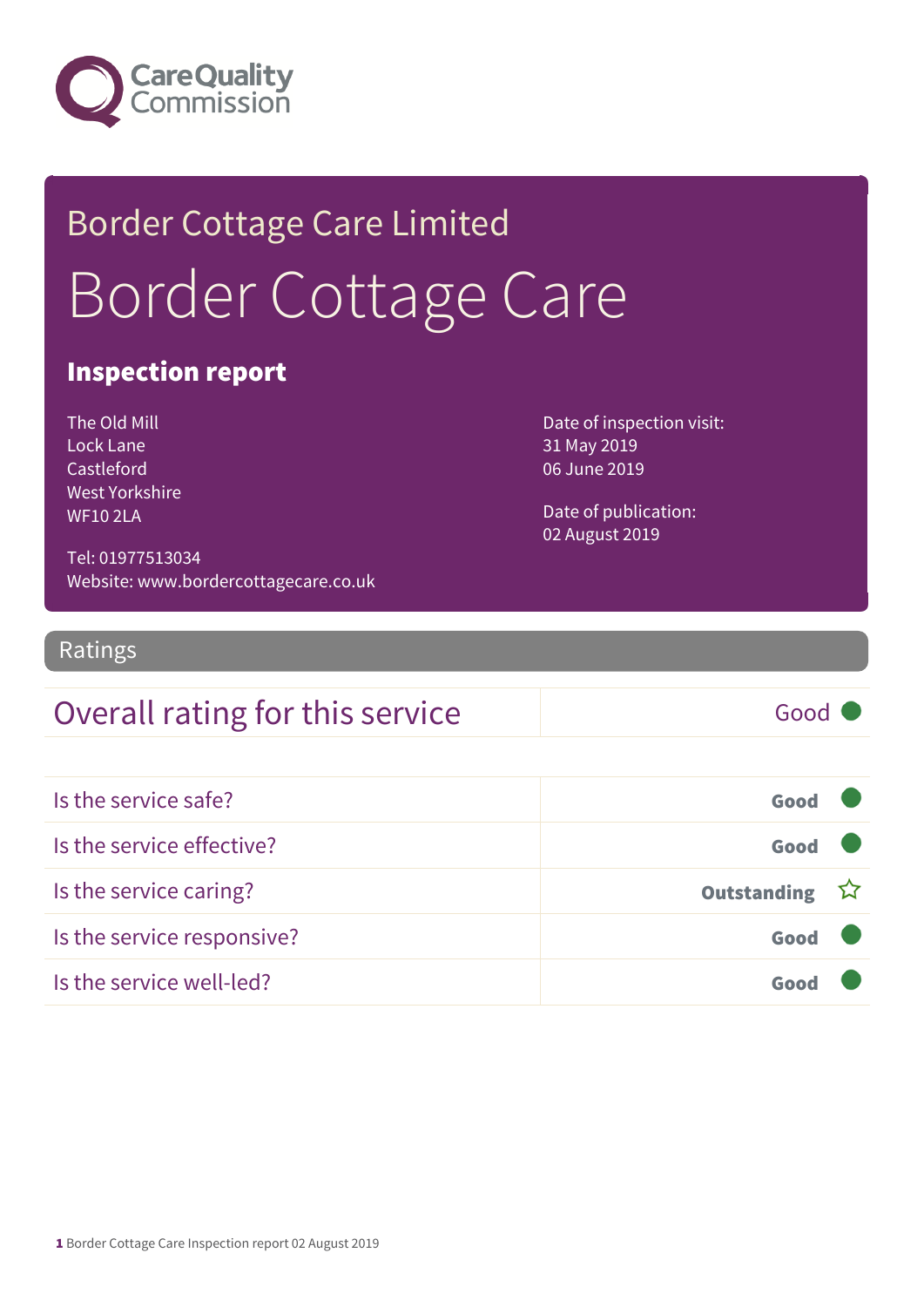

# Border Cottage Care Limited Border Cottage Care

### Inspection report

The Old Mill Lock Lane Castleford West Yorkshire WF10 2LA

Date of inspection visit: 31 May 2019 06 June 2019

Date of publication: 02 August 2019

Tel: 01977513034 Website: www.bordercottagecare.co.uk

Ratings

### Overall rating for this service Fig. 6000

| Is the service safe?       | Good          |  |
|----------------------------|---------------|--|
| Is the service effective?  | Good          |  |
| Is the service caring?     | Outstanding ☆ |  |
| Is the service responsive? | Good          |  |
| Is the service well-led?   |               |  |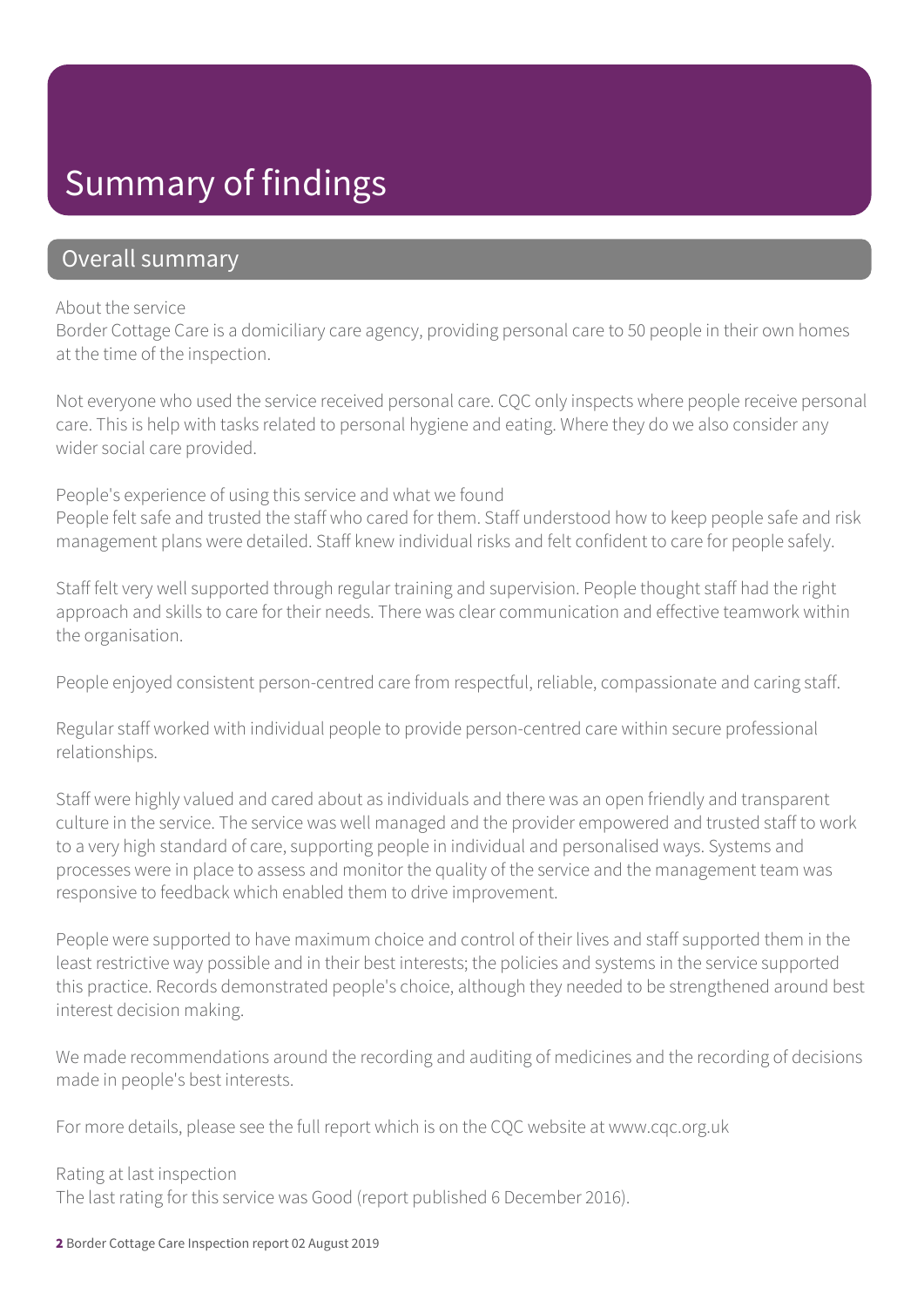### Summary of findings

### Overall summary

#### About the service

Border Cottage Care is a domiciliary care agency, providing personal care to 50 people in their own homes at the time of the inspection.

Not everyone who used the service received personal care. CQC only inspects where people receive personal care. This is help with tasks related to personal hygiene and eating. Where they do we also consider any wider social care provided.

People's experience of using this service and what we found People felt safe and trusted the staff who cared for them. Staff understood how to keep people safe and risk management plans were detailed. Staff knew individual risks and felt confident to care for people safely.

Staff felt very well supported through regular training and supervision. People thought staff had the right approach and skills to care for their needs. There was clear communication and effective teamwork within the organisation.

People enjoyed consistent person-centred care from respectful, reliable, compassionate and caring staff.

Regular staff worked with individual people to provide person-centred care within secure professional relationships.

Staff were highly valued and cared about as individuals and there was an open friendly and transparent culture in the service. The service was well managed and the provider empowered and trusted staff to work to a very high standard of care, supporting people in individual and personalised ways. Systems and processes were in place to assess and monitor the quality of the service and the management team was responsive to feedback which enabled them to drive improvement.

People were supported to have maximum choice and control of their lives and staff supported them in the least restrictive way possible and in their best interests; the policies and systems in the service supported this practice. Records demonstrated people's choice, although they needed to be strengthened around best interest decision making.

We made recommendations around the recording and auditing of medicines and the recording of decisions made in people's best interests.

For more details, please see the full report which is on the CQC website at www.cqc.org.uk

#### Rating at last inspection

The last rating for this service was Good (report published 6 December 2016).

2 Border Cottage Care Inspection report 02 August 2019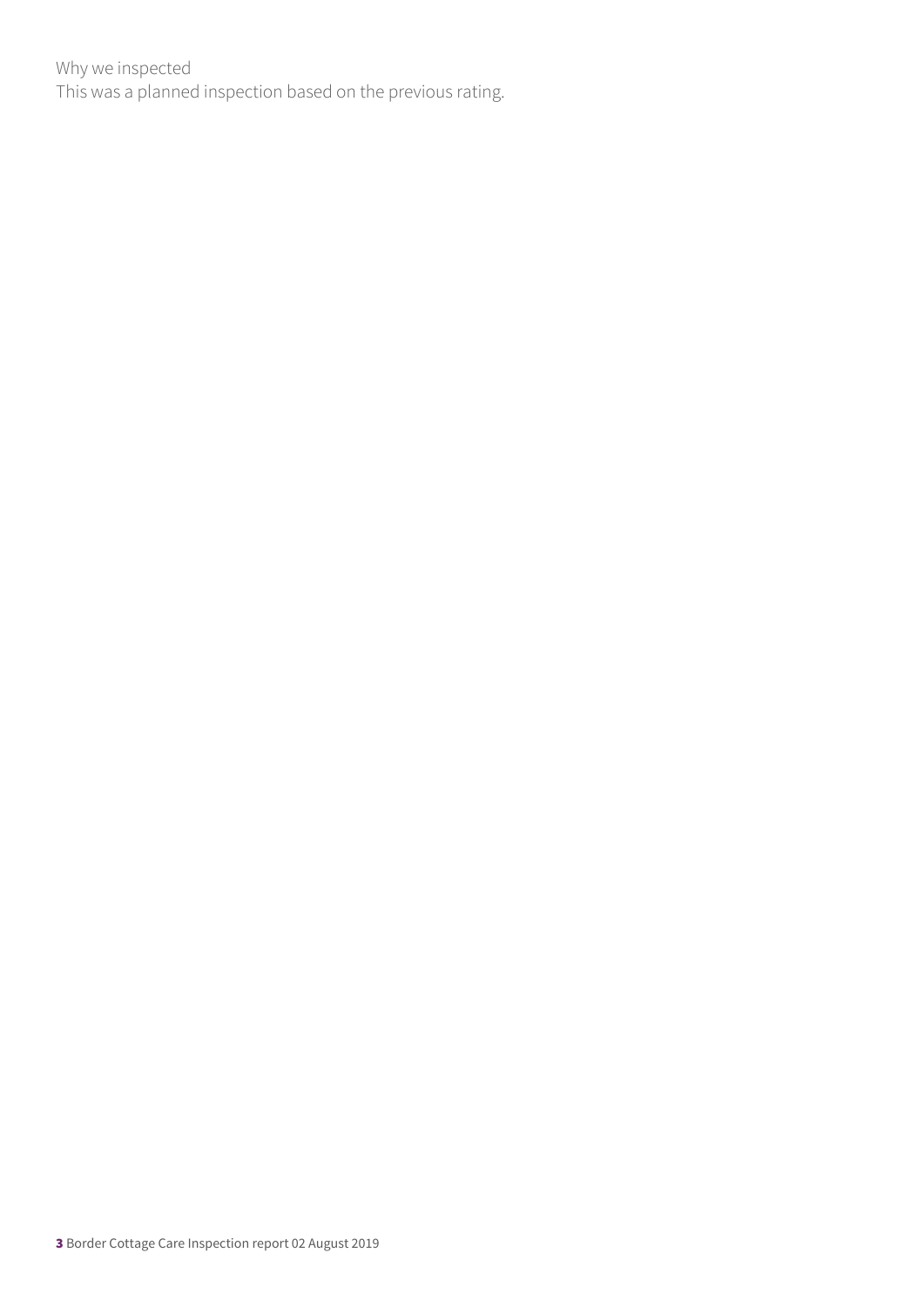Why we inspected This was a planned inspection based on the previous rating.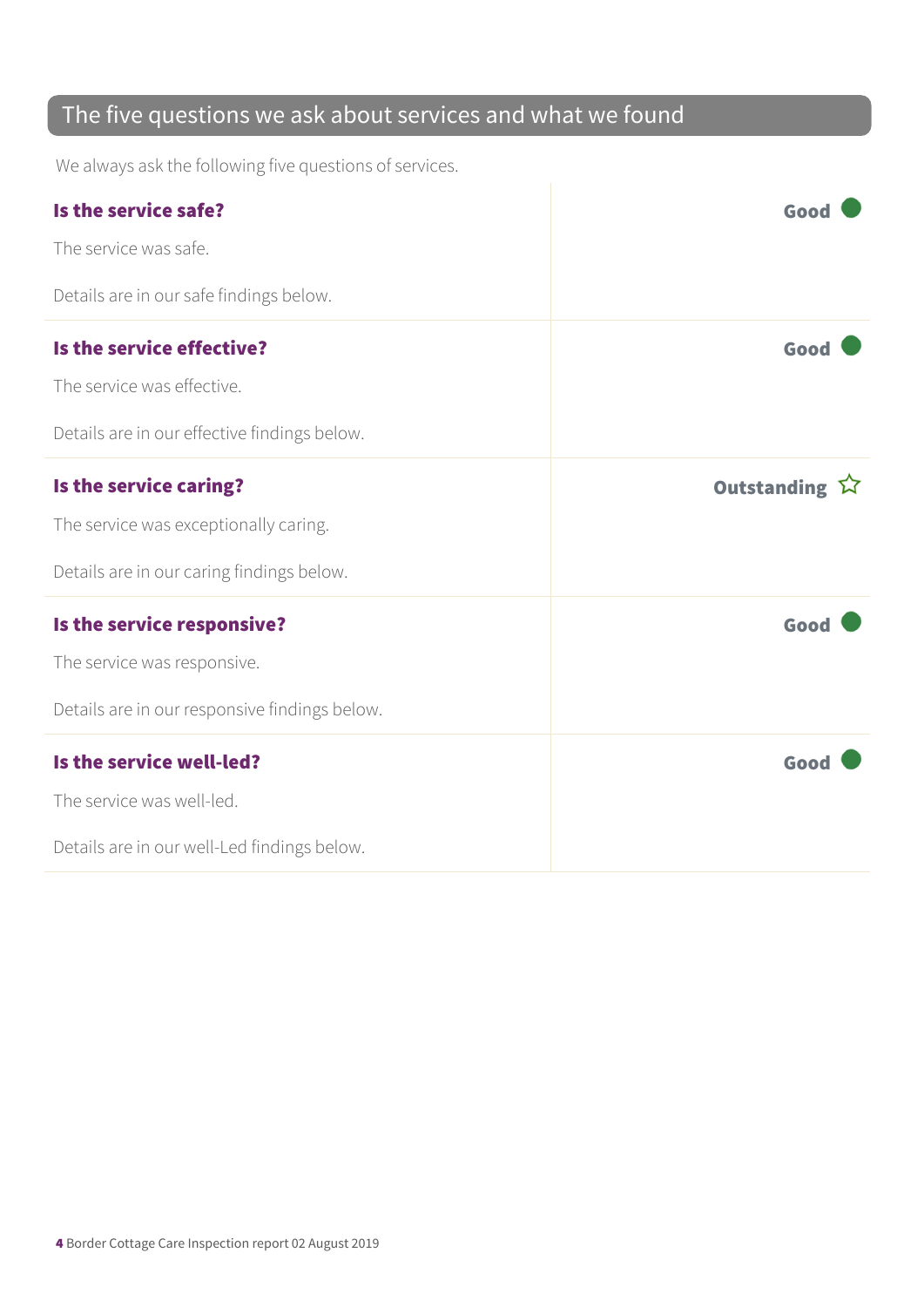### The five questions we ask about services and what we found

We always ask the following five questions of services.

| Is the service safe?                                    | Good          |
|---------------------------------------------------------|---------------|
| The service was safe.                                   |               |
| Details are in our safe findings below.                 |               |
| Is the service effective?<br>The service was effective. | Good          |
| Details are in our effective findings below.            |               |
| Is the service caring?                                  | Outstanding ☆ |
| The service was exceptionally caring.                   |               |
| Details are in our caring findings below.               |               |
| Is the service responsive?                              | Good          |
| The service was responsive.                             |               |
| Details are in our responsive findings below.           |               |
| Is the service well-led?                                | Good          |
| The service was well-led.                               |               |
| Details are in our well-Led findings below.             |               |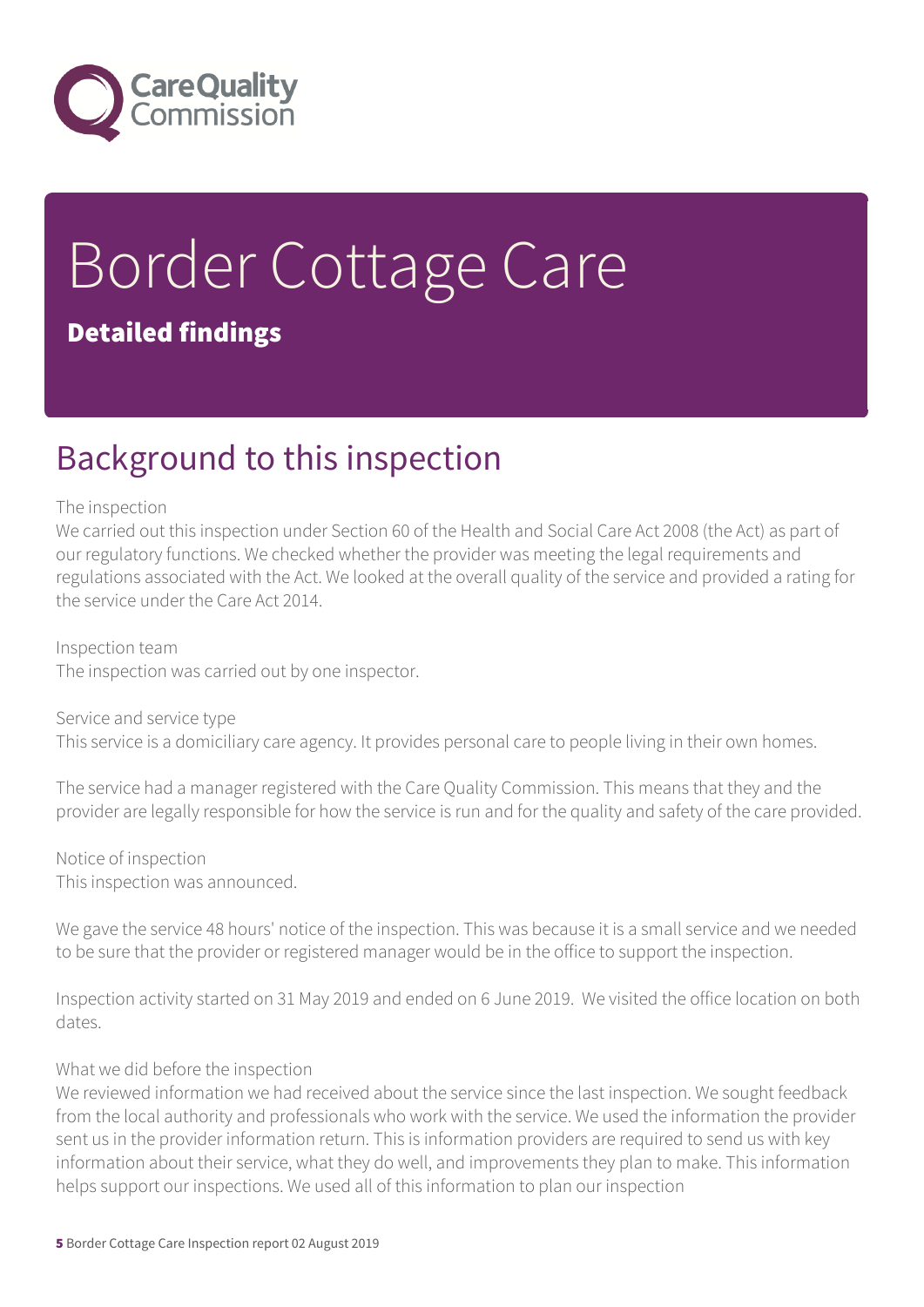

# Border Cottage Care Detailed findings

### Background to this inspection

#### The inspection

We carried out this inspection under Section 60 of the Health and Social Care Act 2008 (the Act) as part of our regulatory functions. We checked whether the provider was meeting the legal requirements and regulations associated with the Act. We looked at the overall quality of the service and provided a rating for the service under the Care Act 2014.

Inspection team The inspection was carried out by one inspector.

Service and service type This service is a domiciliary care agency. It provides personal care to people living in their own homes.

The service had a manager registered with the Care Quality Commission. This means that they and the provider are legally responsible for how the service is run and for the quality and safety of the care provided.

Notice of inspection This inspection was announced.

We gave the service 48 hours' notice of the inspection. This was because it is a small service and we needed to be sure that the provider or registered manager would be in the office to support the inspection.

Inspection activity started on 31 May 2019 and ended on 6 June 2019. We visited the office location on both dates.

#### What we did before the inspection

We reviewed information we had received about the service since the last inspection. We sought feedback from the local authority and professionals who work with the service. We used the information the provider sent us in the provider information return. This is information providers are required to send us with key information about their service, what they do well, and improvements they plan to make. This information helps support our inspections. We used all of this information to plan our inspection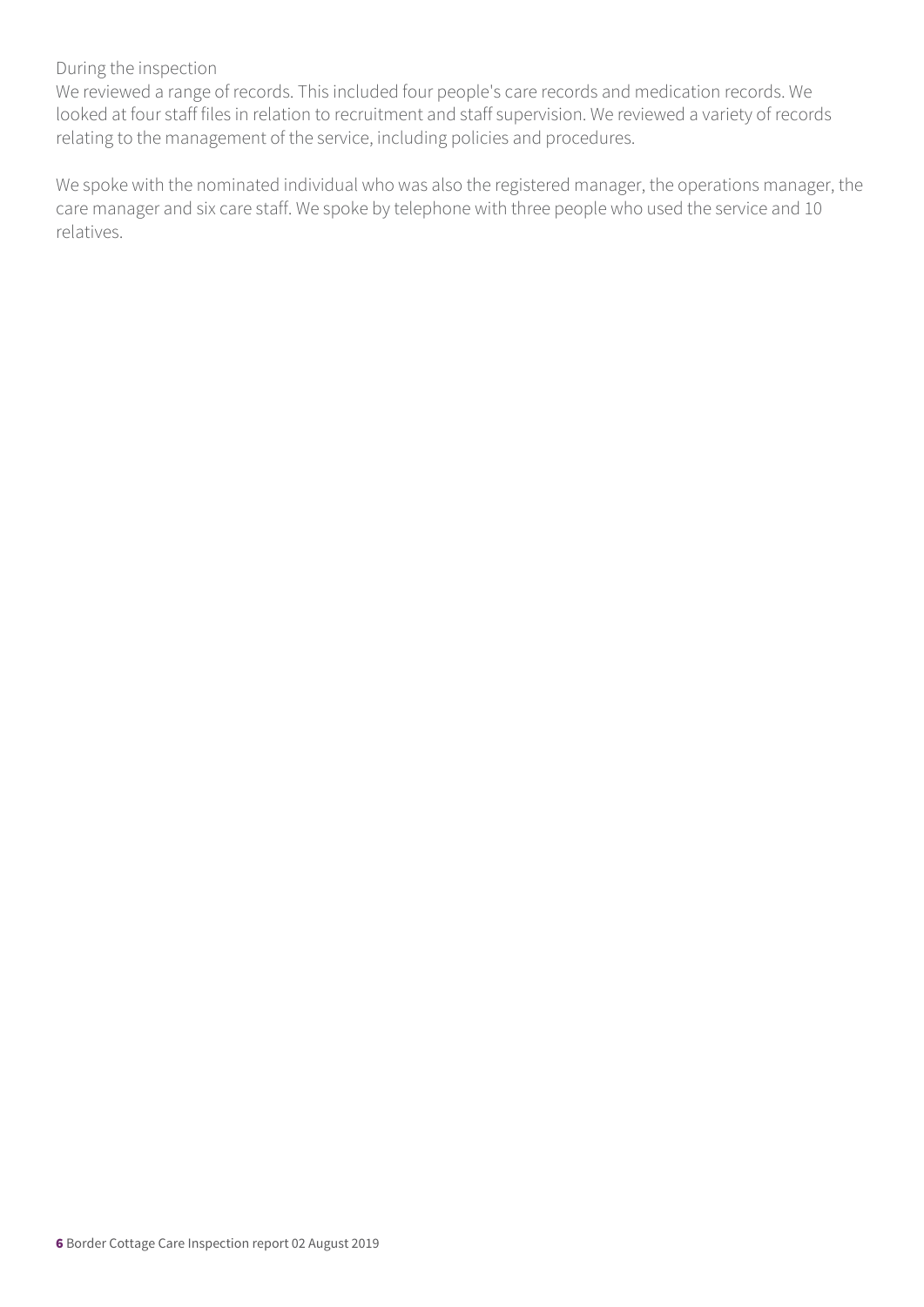#### During the inspection

We reviewed a range of records. This included four people's care records and medication records. We looked at four staff files in relation to recruitment and staff supervision. We reviewed a variety of records relating to the management of the service, including policies and procedures.

We spoke with the nominated individual who was also the registered manager, the operations manager, the care manager and six care staff. We spoke by telephone with three people who used the service and 10 relatives.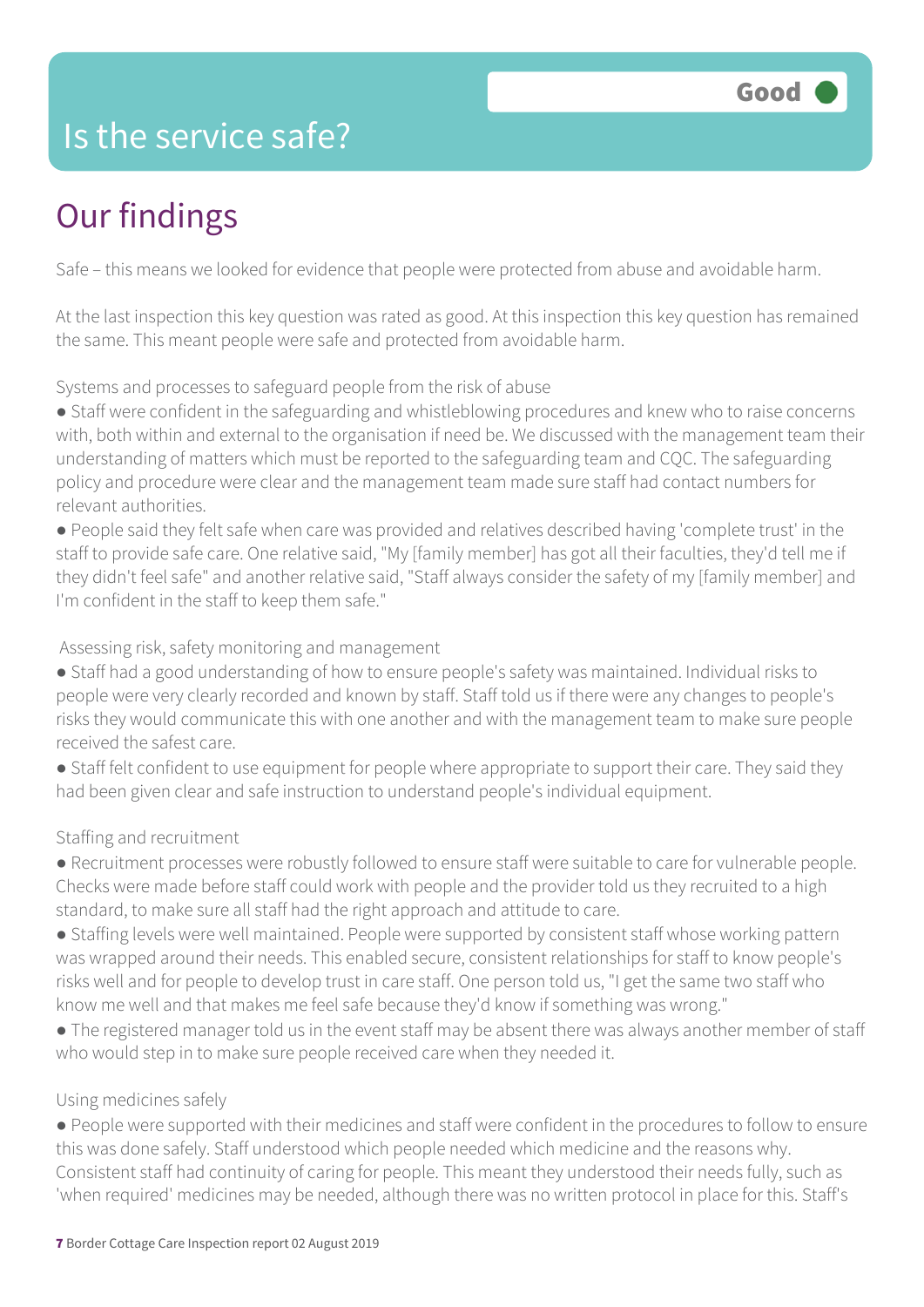### Is the service safe?

## Our findings

Safe – this means we looked for evidence that people were protected from abuse and avoidable harm.

At the last inspection this key question was rated as good. At this inspection this key question has remained the same. This meant people were safe and protected from avoidable harm.

Systems and processes to safeguard people from the risk of abuse

● Staff were confident in the safeguarding and whistleblowing procedures and knew who to raise concerns with, both within and external to the organisation if need be. We discussed with the management team their understanding of matters which must be reported to the safeguarding team and CQC. The safeguarding policy and procedure were clear and the management team made sure staff had contact numbers for relevant authorities.

● People said they felt safe when care was provided and relatives described having 'complete trust' in the staff to provide safe care. One relative said, "My [family member] has got all their faculties, they'd tell me if they didn't feel safe" and another relative said, "Staff always consider the safety of my [family member] and I'm confident in the staff to keep them safe."

Assessing risk, safety monitoring and management

- Staff had a good understanding of how to ensure people's safety was maintained. Individual risks to people were very clearly recorded and known by staff. Staff told us if there were any changes to people's risks they would communicate this with one another and with the management team to make sure people received the safest care.
- Staff felt confident to use equipment for people where appropriate to support their care. They said they had been given clear and safe instruction to understand people's individual equipment.

#### Staffing and recruitment

- Recruitment processes were robustly followed to ensure staff were suitable to care for vulnerable people. Checks were made before staff could work with people and the provider told us they recruited to a high standard, to make sure all staff had the right approach and attitude to care.
- Staffing levels were well maintained. People were supported by consistent staff whose working pattern was wrapped around their needs. This enabled secure, consistent relationships for staff to know people's risks well and for people to develop trust in care staff. One person told us, "I get the same two staff who know me well and that makes me feel safe because they'd know if something was wrong."
- The registered manager told us in the event staff may be absent there was always another member of staff who would step in to make sure people received care when they needed it.

#### Using medicines safely

● People were supported with their medicines and staff were confident in the procedures to follow to ensure this was done safely. Staff understood which people needed which medicine and the reasons why. Consistent staff had continuity of caring for people. This meant they understood their needs fully, such as 'when required' medicines may be needed, although there was no written protocol in place for this. Staff's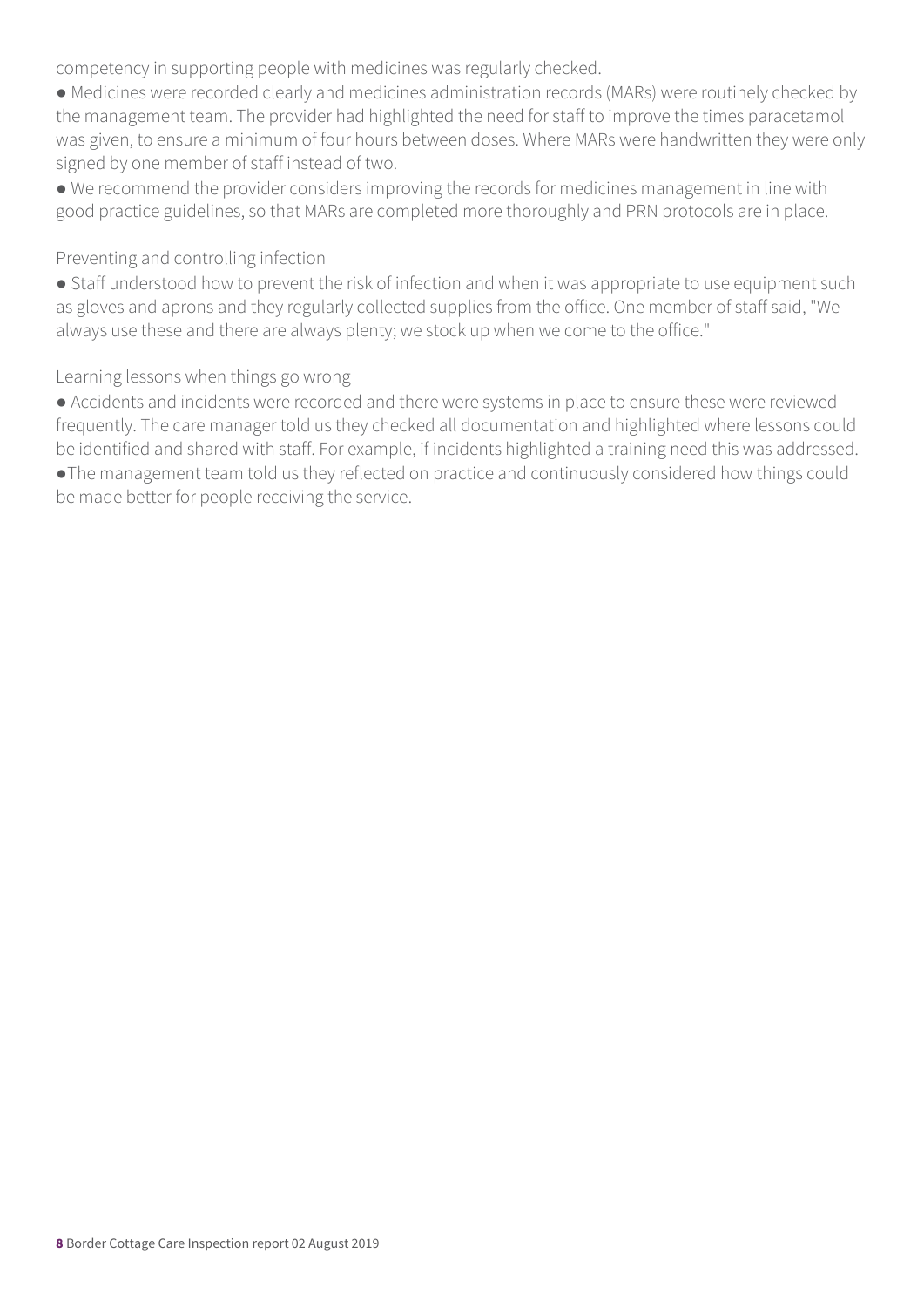competency in supporting people with medicines was regularly checked.

● Medicines were recorded clearly and medicines administration records (MARs) were routinely checked by the management team. The provider had highlighted the need for staff to improve the times paracetamol was given, to ensure a minimum of four hours between doses. Where MARs were handwritten they were only signed by one member of staff instead of two.

● We recommend the provider considers improving the records for medicines management in line with good practice guidelines, so that MARs are completed more thoroughly and PRN protocols are in place.

#### Preventing and controlling infection

● Staff understood how to prevent the risk of infection and when it was appropriate to use equipment such as gloves and aprons and they regularly collected supplies from the office. One member of staff said, "We always use these and there are always plenty; we stock up when we come to the office."

#### Learning lessons when things go wrong

● Accidents and incidents were recorded and there were systems in place to ensure these were reviewed frequently. The care manager told us they checked all documentation and highlighted where lessons could be identified and shared with staff. For example, if incidents highlighted a training need this was addressed.

●The management team told us they reflected on practice and continuously considered how things could be made better for people receiving the service.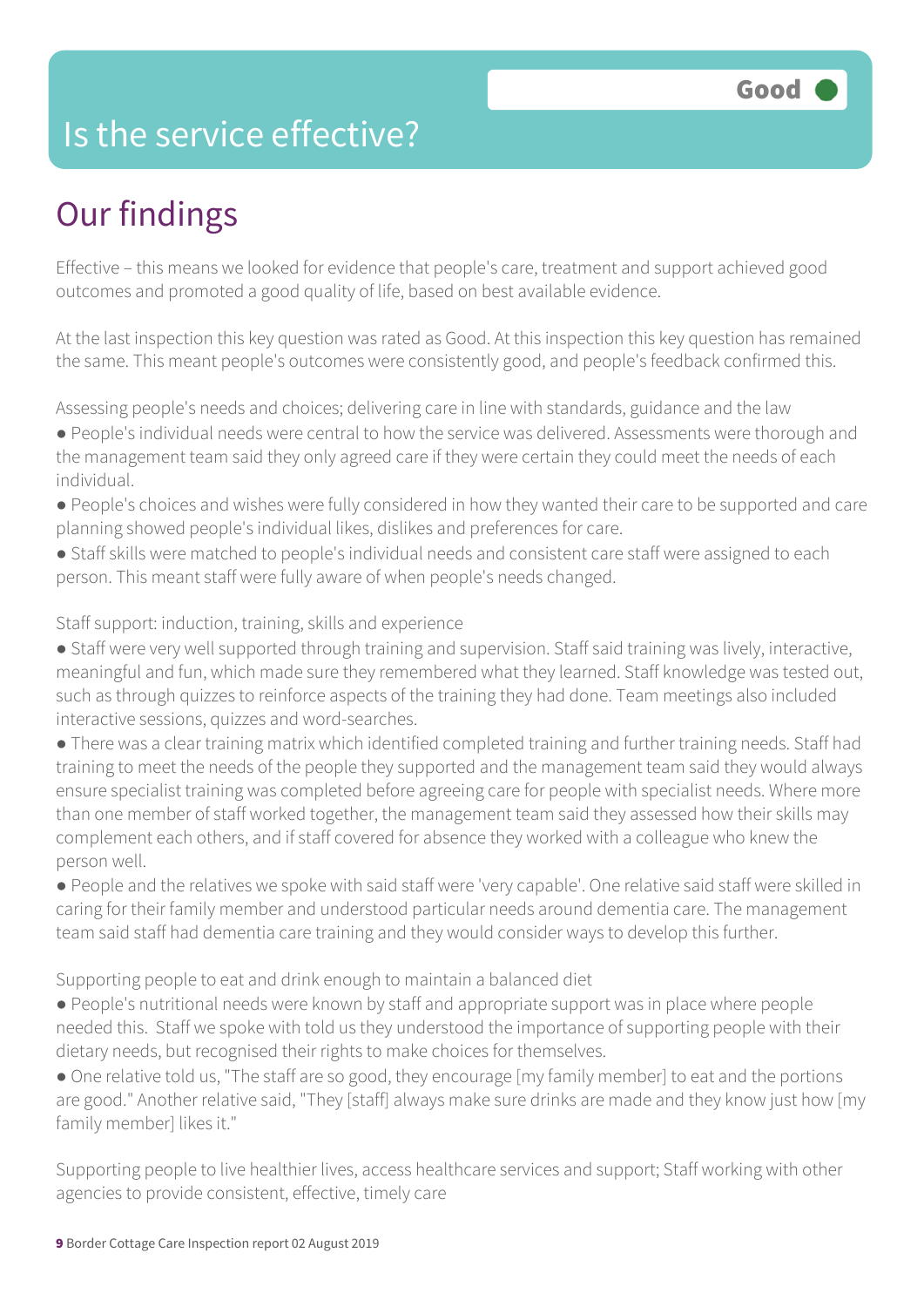### Is the service effective?

## Our findings

Effective – this means we looked for evidence that people's care, treatment and support achieved good outcomes and promoted a good quality of life, based on best available evidence.

At the last inspection this key question was rated as Good. At this inspection this key question has remained the same. This meant people's outcomes were consistently good, and people's feedback confirmed this.

Assessing people's needs and choices; delivering care in line with standards, guidance and the law

- People's individual needs were central to how the service was delivered. Assessments were thorough and the management team said they only agreed care if they were certain they could meet the needs of each individual.
- People's choices and wishes were fully considered in how they wanted their care to be supported and care planning showed people's individual likes, dislikes and preferences for care.
- Staff skills were matched to people's individual needs and consistent care staff were assigned to each person. This meant staff were fully aware of when people's needs changed.

#### Staff support: induction, training, skills and experience

- Staff were very well supported through training and supervision. Staff said training was lively, interactive, meaningful and fun, which made sure they remembered what they learned. Staff knowledge was tested out, such as through quizzes to reinforce aspects of the training they had done. Team meetings also included interactive sessions, quizzes and word-searches.
- There was a clear training matrix which identified completed training and further training needs. Staff had training to meet the needs of the people they supported and the management team said they would always ensure specialist training was completed before agreeing care for people with specialist needs. Where more than one member of staff worked together, the management team said they assessed how their skills may complement each others, and if staff covered for absence they worked with a colleague who knew the person well.
- People and the relatives we spoke with said staff were 'very capable'. One relative said staff were skilled in caring for their family member and understood particular needs around dementia care. The management team said staff had dementia care training and they would consider ways to develop this further.

Supporting people to eat and drink enough to maintain a balanced diet

- People's nutritional needs were known by staff and appropriate support was in place where people needed this. Staff we spoke with told us they understood the importance of supporting people with their dietary needs, but recognised their rights to make choices for themselves.
- One relative told us, "The staff are so good, they encourage [my family member] to eat and the portions are good." Another relative said, "They [staff] always make sure drinks are made and they know just how [my family member] likes it."

Supporting people to live healthier lives, access healthcare services and support; Staff working with other agencies to provide consistent, effective, timely care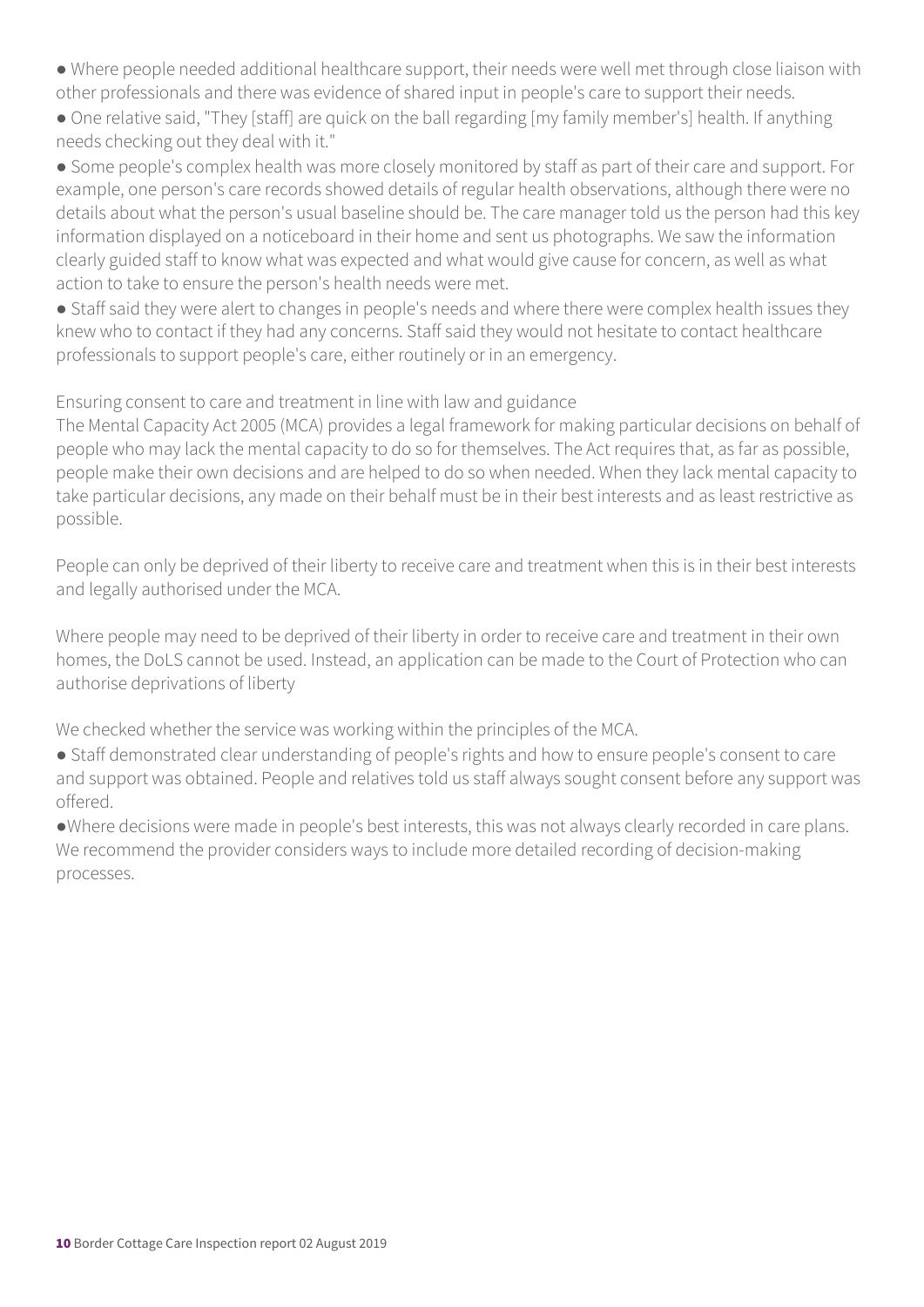- Where people needed additional healthcare support, their needs were well met through close liaison with other professionals and there was evidence of shared input in people's care to support their needs.
- One relative said, "They [staff] are quick on the ball regarding [my family member's] health. If anything needs checking out they deal with it."

● Some people's complex health was more closely monitored by staff as part of their care and support. For example, one person's care records showed details of regular health observations, although there were no details about what the person's usual baseline should be. The care manager told us the person had this key information displayed on a noticeboard in their home and sent us photographs. We saw the information clearly guided staff to know what was expected and what would give cause for concern, as well as what action to take to ensure the person's health needs were met.

• Staff said they were alert to changes in people's needs and where there were complex health issues they knew who to contact if they had any concerns. Staff said they would not hesitate to contact healthcare professionals to support people's care, either routinely or in an emergency.

Ensuring consent to care and treatment in line with law and guidance

The Mental Capacity Act 2005 (MCA) provides a legal framework for making particular decisions on behalf of people who may lack the mental capacity to do so for themselves. The Act requires that, as far as possible, people make their own decisions and are helped to do so when needed. When they lack mental capacity to take particular decisions, any made on their behalf must be in their best interests and as least restrictive as possible.

People can only be deprived of their liberty to receive care and treatment when this is in their best interests and legally authorised under the MCA.

Where people may need to be deprived of their liberty in order to receive care and treatment in their own homes, the DoLS cannot be used. Instead, an application can be made to the Court of Protection who can authorise deprivations of liberty

We checked whether the service was working within the principles of the MCA.

- Staff demonstrated clear understanding of people's rights and how to ensure people's consent to care and support was obtained. People and relatives told us staff always sought consent before any support was offered.
- ●Where decisions were made in people's best interests, this was not always clearly recorded in care plans. We recommend the provider considers ways to include more detailed recording of decision-making processes.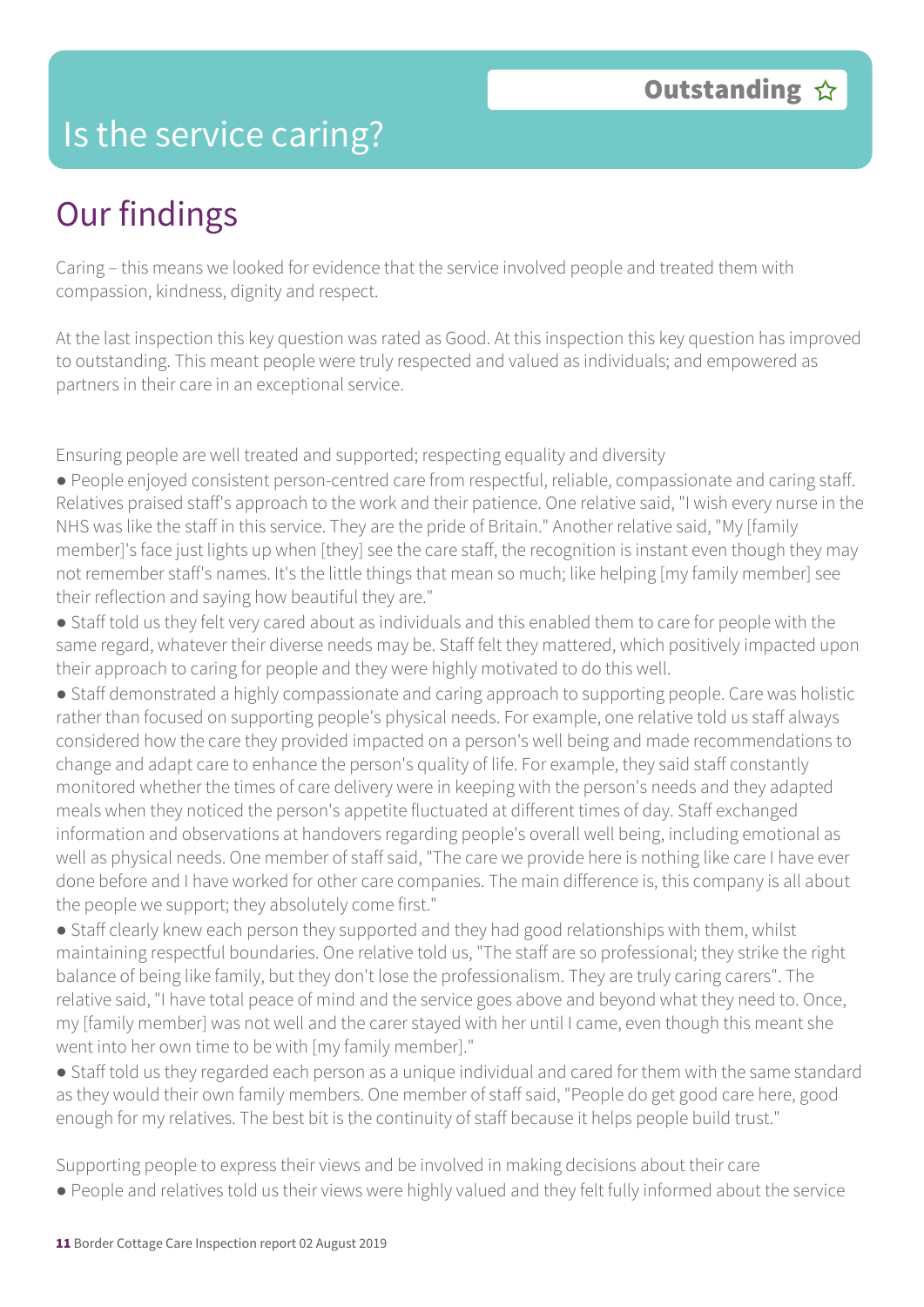### Is the service caring?

### Our findings

Caring – this means we looked for evidence that the service involved people and treated them with compassion, kindness, dignity and respect.

At the last inspection this key question was rated as Good. At this inspection this key question has improved to outstanding. This meant people were truly respected and valued as individuals; and empowered as partners in their care in an exceptional service.

Ensuring people are well treated and supported; respecting equality and diversity

- People enjoyed consistent person-centred care from respectful, reliable, compassionate and caring staff. Relatives praised staff's approach to the work and their patience. One relative said, "I wish every nurse in the NHS was like the staff in this service. They are the pride of Britain." Another relative said, "My [family member]'s face just lights up when [they] see the care staff, the recognition is instant even though they may not remember staff's names. It's the little things that mean so much; like helping [my family member] see their reflection and saying how beautiful they are."
- Staff told us they felt very cared about as individuals and this enabled them to care for people with the same regard, whatever their diverse needs may be. Staff felt they mattered, which positively impacted upon their approach to caring for people and they were highly motivated to do this well.
- Staff demonstrated a highly compassionate and caring approach to supporting people. Care was holistic rather than focused on supporting people's physical needs. For example, one relative told us staff always considered how the care they provided impacted on a person's well being and made recommendations to change and adapt care to enhance the person's quality of life. For example, they said staff constantly monitored whether the times of care delivery were in keeping with the person's needs and they adapted meals when they noticed the person's appetite fluctuated at different times of day. Staff exchanged information and observations at handovers regarding people's overall well being, including emotional as well as physical needs. One member of staff said, "The care we provide here is nothing like care I have ever done before and I have worked for other care companies. The main difference is, this company is all about the people we support; they absolutely come first."
- Staff clearly knew each person they supported and they had good relationships with them, whilst maintaining respectful boundaries. One relative told us, "The staff are so professional; they strike the right balance of being like family, but they don't lose the professionalism. They are truly caring carers". The relative said, "I have total peace of mind and the service goes above and beyond what they need to. Once, my [family member] was not well and the carer stayed with her until I came, even though this meant she went into her own time to be with [my family member]."
- Staff told us they regarded each person as a unique individual and cared for them with the same standard as they would their own family members. One member of staff said, "People do get good care here, good enough for my relatives. The best bit is the continuity of staff because it helps people build trust."

Supporting people to express their views and be involved in making decisions about their care

● People and relatives told us their views were highly valued and they felt fully informed about the service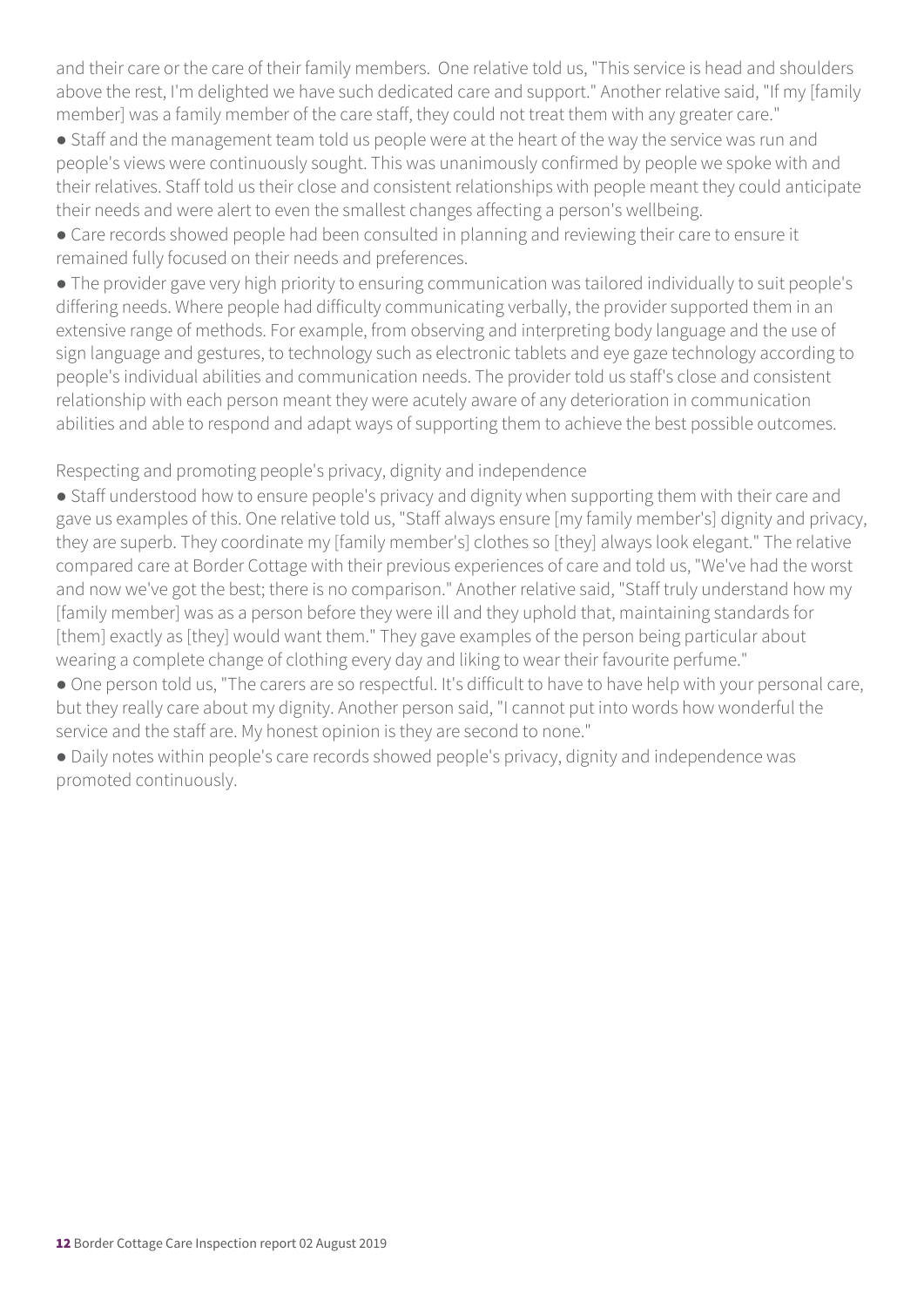and their care or the care of their family members. One relative told us, "This service is head and shoulders above the rest, I'm delighted we have such dedicated care and support." Another relative said, "If my [family member] was a family member of the care staff, they could not treat them with any greater care."

• Staff and the management team told us people were at the heart of the way the service was run and people's views were continuously sought. This was unanimously confirmed by people we spoke with and their relatives. Staff told us their close and consistent relationships with people meant they could anticipate their needs and were alert to even the smallest changes affecting a person's wellbeing.

● Care records showed people had been consulted in planning and reviewing their care to ensure it remained fully focused on their needs and preferences.

● The provider gave very high priority to ensuring communication was tailored individually to suit people's differing needs. Where people had difficulty communicating verbally, the provider supported them in an extensive range of methods. For example, from observing and interpreting body language and the use of sign language and gestures, to technology such as electronic tablets and eye gaze technology according to people's individual abilities and communication needs. The provider told us staff's close and consistent relationship with each person meant they were acutely aware of any deterioration in communication abilities and able to respond and adapt ways of supporting them to achieve the best possible outcomes.

Respecting and promoting people's privacy, dignity and independence

● Staff understood how to ensure people's privacy and dignity when supporting them with their care and gave us examples of this. One relative told us, "Staff always ensure [my family member's] dignity and privacy, they are superb. They coordinate my [family member's] clothes so [they] always look elegant." The relative compared care at Border Cottage with their previous experiences of care and told us, "We've had the worst and now we've got the best; there is no comparison." Another relative said, "Staff truly understand how my [family member] was as a person before they were ill and they uphold that, maintaining standards for [them] exactly as [they] would want them." They gave examples of the person being particular about wearing a complete change of clothing every day and liking to wear their favourite perfume."

● One person told us, "The carers are so respectful. It's difficult to have to have help with your personal care, but they really care about my dignity. Another person said, "I cannot put into words how wonderful the service and the staff are. My honest opinion is they are second to none."

● Daily notes within people's care records showed people's privacy, dignity and independence was promoted continuously.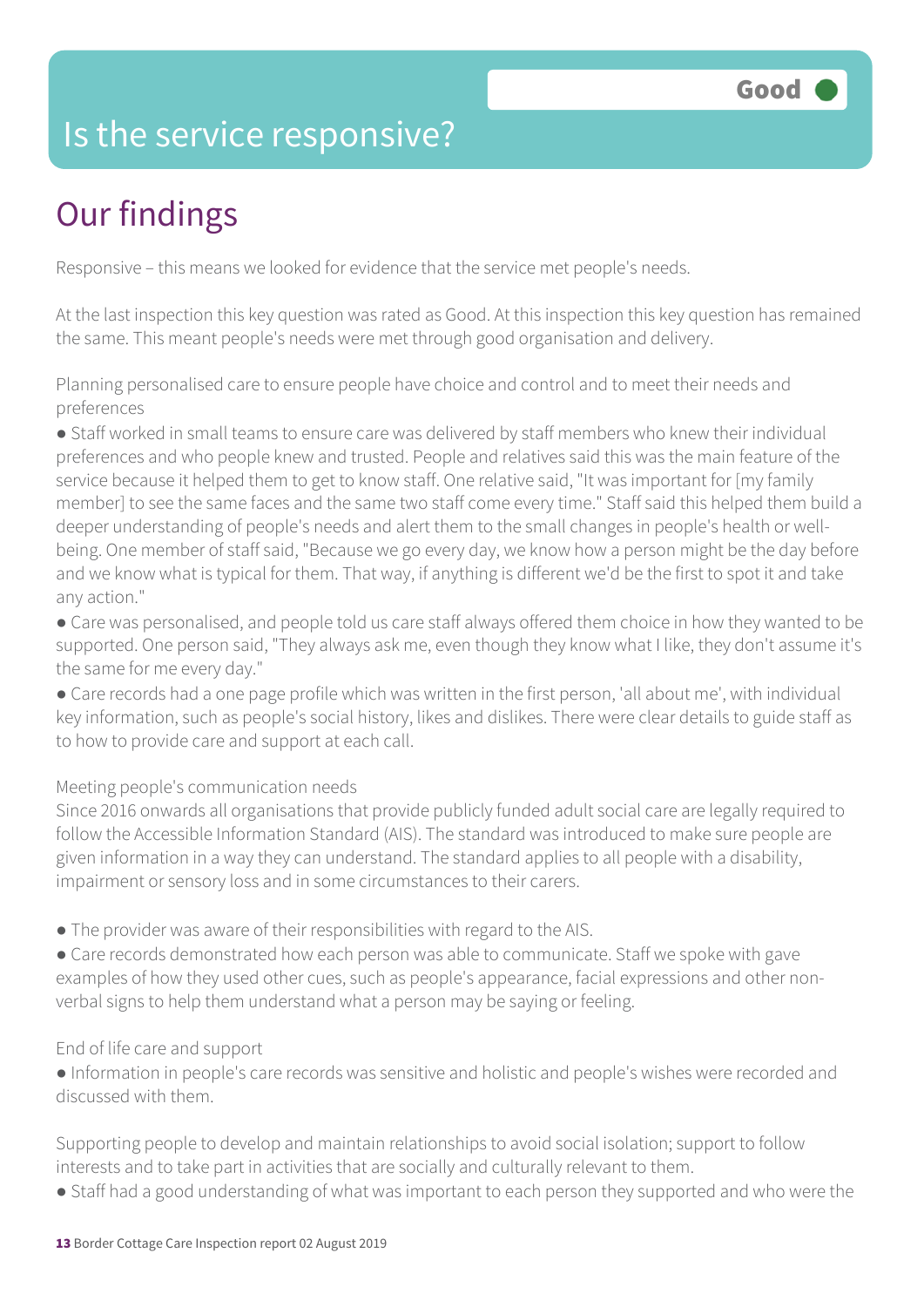### Is the service responsive?

# Our findings

Responsive – this means we looked for evidence that the service met people's needs.

At the last inspection this key question was rated as Good. At this inspection this key question has remained the same. This meant people's needs were met through good organisation and delivery.

Planning personalised care to ensure people have choice and control and to meet their needs and preferences

● Staff worked in small teams to ensure care was delivered by staff members who knew their individual preferences and who people knew and trusted. People and relatives said this was the main feature of the service because it helped them to get to know staff. One relative said, "It was important for [my family member] to see the same faces and the same two staff come every time." Staff said this helped them build a deeper understanding of people's needs and alert them to the small changes in people's health or wellbeing. One member of staff said, "Because we go every day, we know how a person might be the day before and we know what is typical for them. That way, if anything is different we'd be the first to spot it and take any action."

● Care was personalised, and people told us care staff always offered them choice in how they wanted to be supported. One person said, "They always ask me, even though they know what I like, they don't assume it's the same for me every day."

● Care records had a one page profile which was written in the first person, 'all about me', with individual key information, such as people's social history, likes and dislikes. There were clear details to guide staff as to how to provide care and support at each call.

#### Meeting people's communication needs

Since 2016 onwards all organisations that provide publicly funded adult social care are legally required to follow the Accessible Information Standard (AIS). The standard was introduced to make sure people are given information in a way they can understand. The standard applies to all people with a disability, impairment or sensory loss and in some circumstances to their carers.

● The provider was aware of their responsibilities with regard to the AIS.

• Care records demonstrated how each person was able to communicate. Staff we spoke with gave examples of how they used other cues, such as people's appearance, facial expressions and other nonverbal signs to help them understand what a person may be saying or feeling.

#### End of life care and support

● Information in people's care records was sensitive and holistic and people's wishes were recorded and discussed with them.

Supporting people to develop and maintain relationships to avoid social isolation; support to follow interests and to take part in activities that are socially and culturally relevant to them.

• Staff had a good understanding of what was important to each person they supported and who were the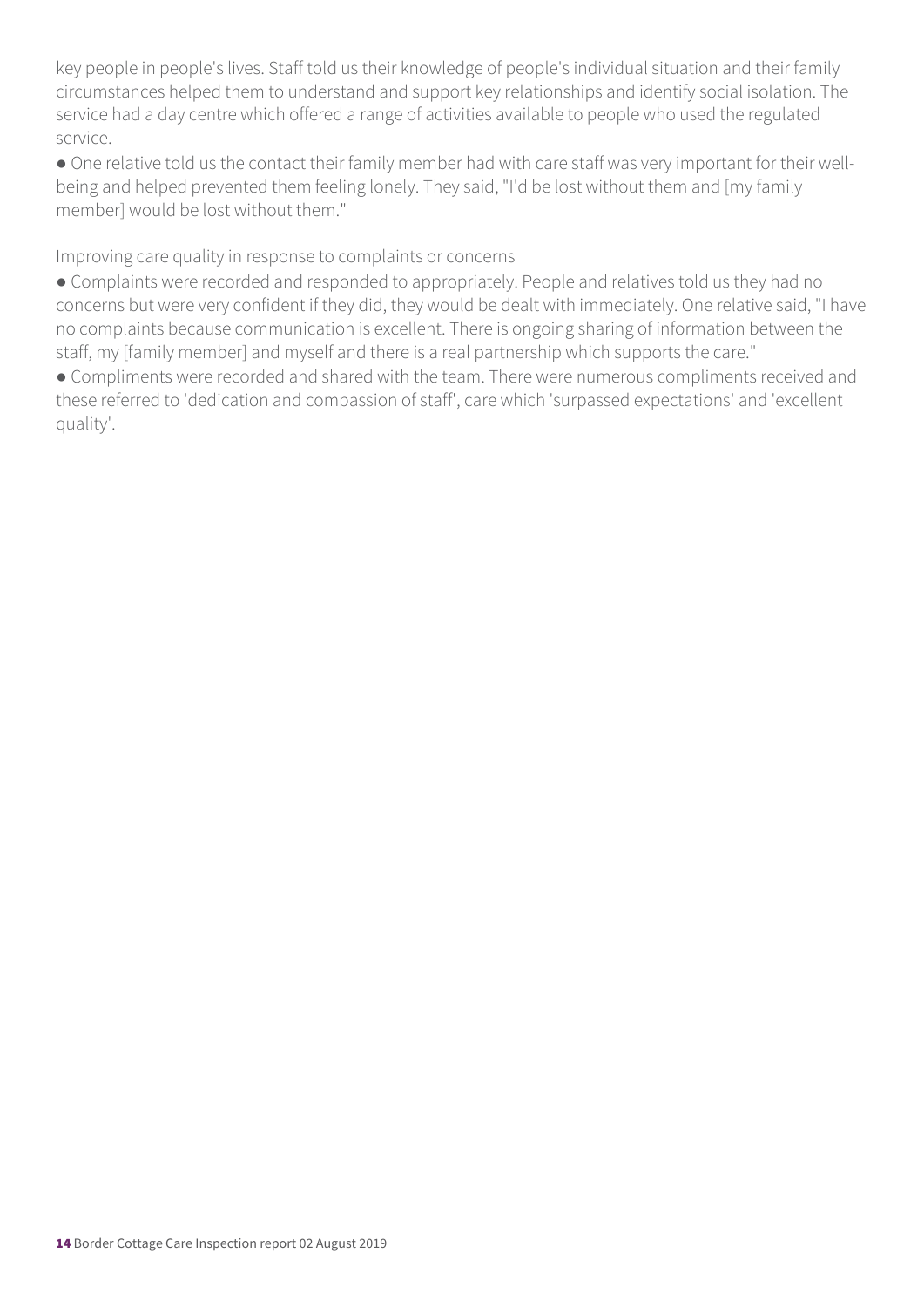key people in people's lives. Staff told us their knowledge of people's individual situation and their family circumstances helped them to understand and support key relationships and identify social isolation. The service had a day centre which offered a range of activities available to people who used the regulated service.

● One relative told us the contact their family member had with care staff was very important for their wellbeing and helped prevented them feeling lonely. They said, "I'd be lost without them and [my family member] would be lost without them."

Improving care quality in response to complaints or concerns

● Complaints were recorded and responded to appropriately. People and relatives told us they had no concerns but were very confident if they did, they would be dealt with immediately. One relative said, "I have no complaints because communication is excellent. There is ongoing sharing of information between the staff, my [family member] and myself and there is a real partnership which supports the care."

● Compliments were recorded and shared with the team. There were numerous compliments received and these referred to 'dedication and compassion of staff', care which 'surpassed expectations' and 'excellent quality'.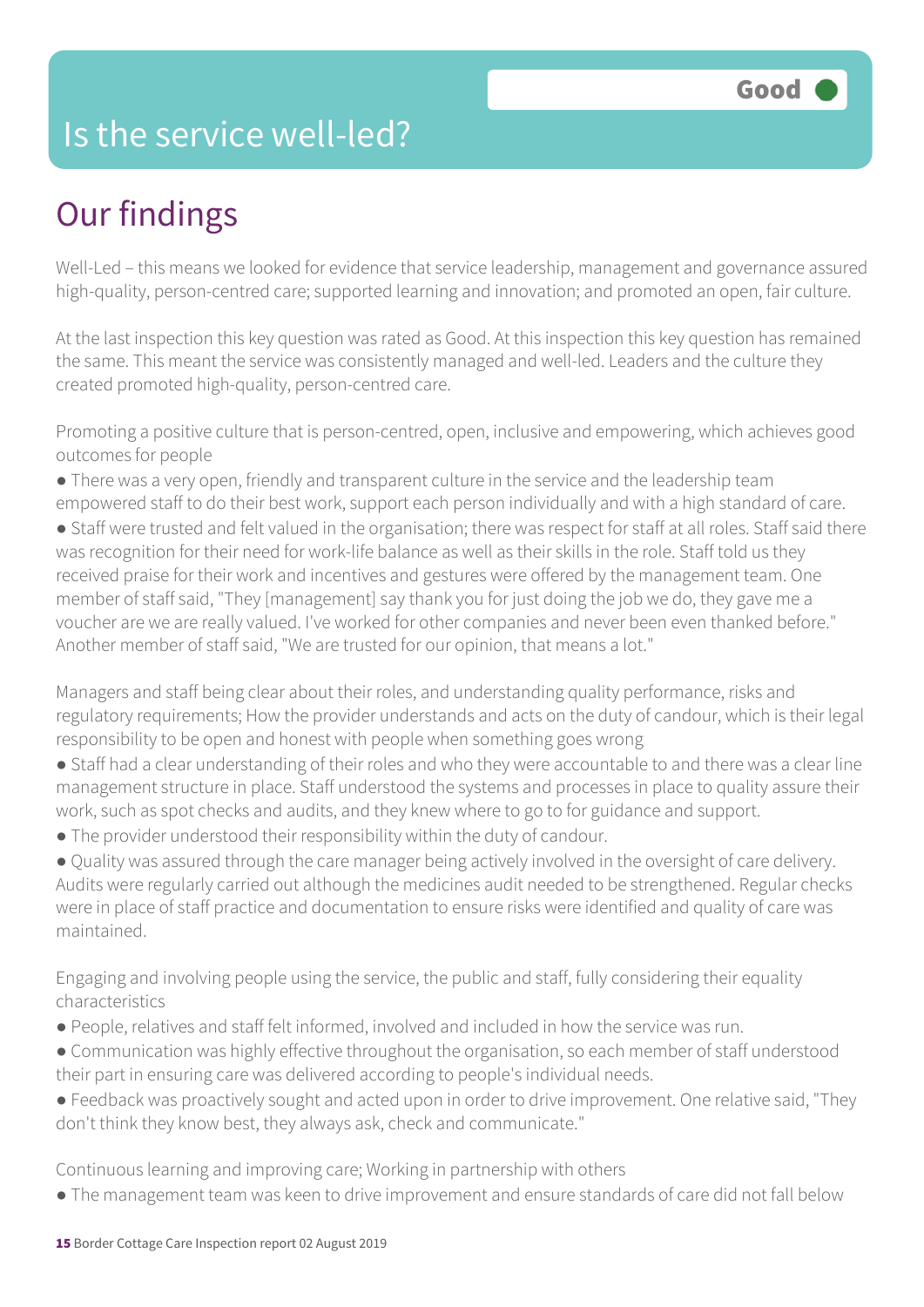### Is the service well-led?

## Our findings

Well-Led – this means we looked for evidence that service leadership, management and governance assured high-quality, person-centred care; supported learning and innovation; and promoted an open, fair culture.

At the last inspection this key question was rated as Good. At this inspection this key question has remained the same. This meant the service was consistently managed and well-led. Leaders and the culture they created promoted high-quality, person-centred care.

Promoting a positive culture that is person-centred, open, inclusive and empowering, which achieves good outcomes for people

- There was a very open, friendly and transparent culture in the service and the leadership team empowered staff to do their best work, support each person individually and with a high standard of care.
- Staff were trusted and felt valued in the organisation; there was respect for staff at all roles. Staff said there was recognition for their need for work-life balance as well as their skills in the role. Staff told us they received praise for their work and incentives and gestures were offered by the management team. One member of staff said, "They [management] say thank you for just doing the job we do, they gave me a voucher are we are really valued. I've worked for other companies and never been even thanked before." Another member of staff said, "We are trusted for our opinion, that means a lot."

Managers and staff being clear about their roles, and understanding quality performance, risks and regulatory requirements; How the provider understands and acts on the duty of candour, which is their legal responsibility to be open and honest with people when something goes wrong

- Staff had a clear understanding of their roles and who they were accountable to and there was a clear line management structure in place. Staff understood the systems and processes in place to quality assure their work, such as spot checks and audits, and they knew where to go to for guidance and support.
- The provider understood their responsibility within the duty of candour.

● Quality was assured through the care manager being actively involved in the oversight of care delivery. Audits were regularly carried out although the medicines audit needed to be strengthened. Regular checks were in place of staff practice and documentation to ensure risks were identified and quality of care was maintained.

Engaging and involving people using the service, the public and staff, fully considering their equality characteristics

- People, relatives and staff felt informed, involved and included in how the service was run.
- Communication was highly effective throughout the organisation, so each member of staff understood their part in ensuring care was delivered according to people's individual needs.
- Feedback was proactively sought and acted upon in order to drive improvement. One relative said, "They don't think they know best, they always ask, check and communicate."

Continuous learning and improving care; Working in partnership with others

● The management team was keen to drive improvement and ensure standards of care did not fall below